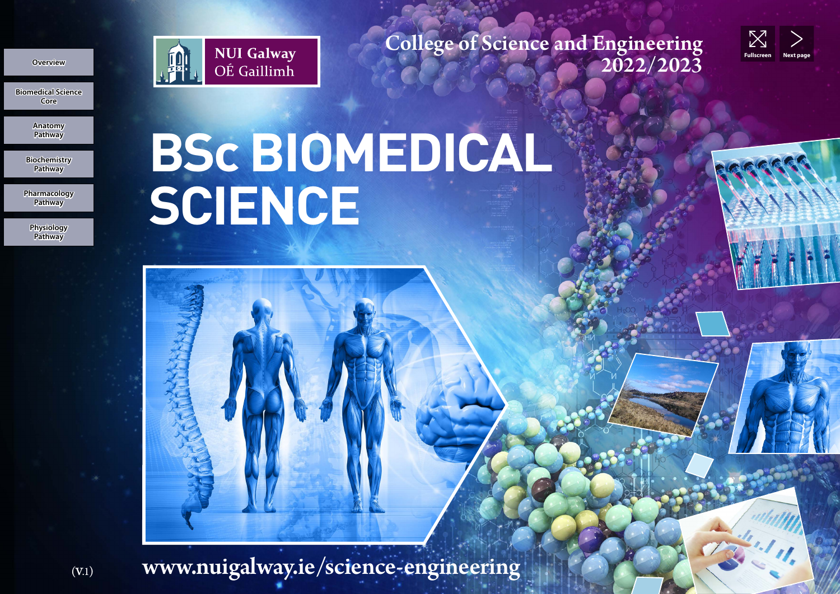

College of Science and Engineering<br>2022/2023



**Anatomy Pathway Pathway**<br> **Pathway**<br> **Pathway**<br> **Pathway**<br> **Pathway**<br> **Pathway**<br> **Physiology**<br> **Pathway** 

**Core**

**Overview** 

**Biochemistry Pathway**

**Pharmacology Pathway**

**Physiology** 

# **BSc BIOMEDICAL SCIENCE** ENGENCE<br>
SCIENCE<br>
Biomedical Science<br>
Biomedia<br>
Biomedia<br>
Biomedia<br>
Biomedia<br>
Biomedia<br>
Biomedia<br>
Biomedia<br>
Biomedia<br>
Biomedia<br>
Biomedia<br>
Biomedia<br>
Biomedia<br>
Biomedia<br>
Biomedia<br>
Biomedia<br>
Biomedia<br>
Biomedia<br>
Biomedia<br>
Biom

www.nuigalway.ie/science-engineering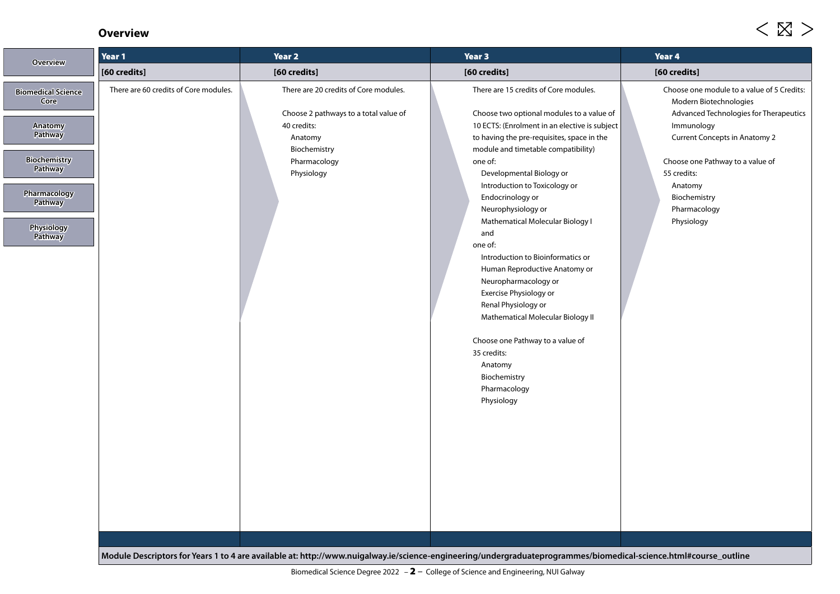### **Overview**

| <b>Overview</b>                   | Year 1                                | Year 2                                                                         | Year 3                                                                                                                                                           | Year 4                                                                                                         |
|-----------------------------------|---------------------------------------|--------------------------------------------------------------------------------|------------------------------------------------------------------------------------------------------------------------------------------------------------------|----------------------------------------------------------------------------------------------------------------|
|                                   | [60 credits]                          | [60 credits]                                                                   | [60 credits]                                                                                                                                                     | [60 credits]                                                                                                   |
| <b>Biomedical Science</b><br>Core | There are 60 credits of Core modules. | There are 20 credits of Core modules.<br>Choose 2 pathways to a total value of | There are 15 credits of Core modules.<br>Choose two optional modules to a value of                                                                               | Choose one module to a value of 5 Credits:<br>Modern Biotechnologies<br>Advanced Technologies for Therapeutics |
| <b>Anatomy</b><br><b>Pathway</b>  |                                       | 40 credits:<br>Anatomy                                                         | 10 ECTS: (Enrolment in an elective is subject<br>to having the pre-requisites, space in the                                                                      | Immunology<br><b>Current Concepts in Anatomy 2</b>                                                             |
| <b>Biochemistry</b><br>Pathway    |                                       | Biochemistry<br>Pharmacology<br>Physiology                                     | module and timetable compatibility)<br>one of:<br>Developmental Biology or                                                                                       | Choose one Pathway to a value of<br>55 credits:                                                                |
| Pharmacology<br><b>Pathway</b>    |                                       |                                                                                | Introduction to Toxicology or<br>Endocrinology or<br>Neurophysiology or<br>Mathematical Molecular Biology I                                                      | Anatomy<br>Biochemistry<br>Pharmacology<br>Physiology                                                          |
| Physiology<br>Pathway             |                                       |                                                                                | and<br>one of:                                                                                                                                                   |                                                                                                                |
|                                   |                                       |                                                                                | Introduction to Bioinformatics or<br>Human Reproductive Anatomy or<br>Neuropharmacology or                                                                       |                                                                                                                |
|                                   |                                       |                                                                                | Exercise Physiology or<br>Renal Physiology or<br>Mathematical Molecular Biology II                                                                               |                                                                                                                |
|                                   |                                       |                                                                                | Choose one Pathway to a value of<br>35 credits:                                                                                                                  |                                                                                                                |
|                                   |                                       |                                                                                | Anatomy<br>Biochemistry                                                                                                                                          |                                                                                                                |
|                                   |                                       |                                                                                | Pharmacology<br>Physiology                                                                                                                                       |                                                                                                                |
|                                   |                                       |                                                                                |                                                                                                                                                                  |                                                                                                                |
|                                   |                                       |                                                                                |                                                                                                                                                                  |                                                                                                                |
|                                   |                                       |                                                                                |                                                                                                                                                                  |                                                                                                                |
|                                   |                                       |                                                                                |                                                                                                                                                                  |                                                                                                                |
|                                   |                                       |                                                                                | Module Descriptors for Years 1 to 4 are available at: http://www.nuigalway.ie/science-engineering/undergraduateprogrammes/biomedical-science.html#course_outline |                                                                                                                |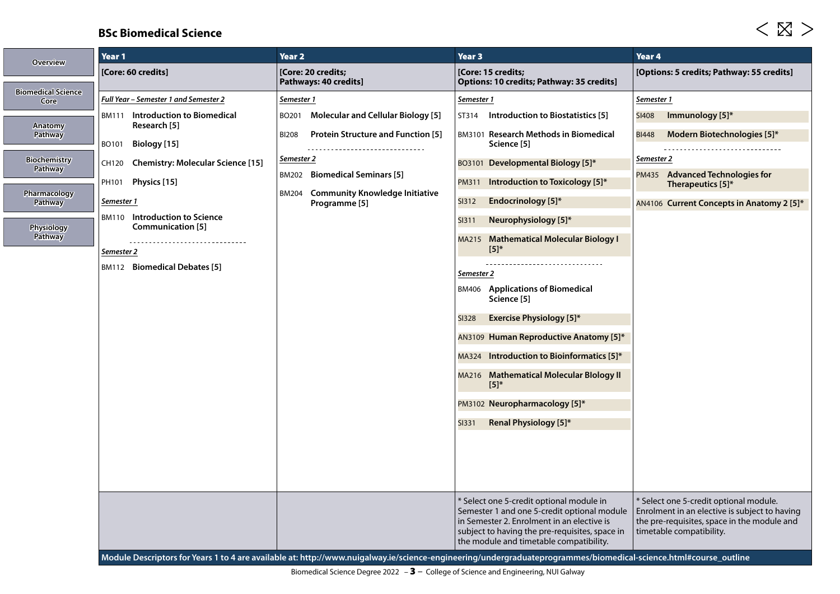# **BSc Biomedical Science**

| <b>Overview</b>                       |                                                                                             |                                                                                                            |                                                                                                                                                                                                                                    | Year <sub>4</sub>                                                                                                                                                             |
|---------------------------------------|---------------------------------------------------------------------------------------------|------------------------------------------------------------------------------------------------------------|------------------------------------------------------------------------------------------------------------------------------------------------------------------------------------------------------------------------------------|-------------------------------------------------------------------------------------------------------------------------------------------------------------------------------|
|                                       | [Core: 60 credits]                                                                          | [Core: 20 credits;<br>Pathways: 40 credits]                                                                | [Core: 15 credits;<br>Options: 10 credits; Pathway: 35 credits]                                                                                                                                                                    | [Options: 5 credits; Pathway: 55 credits]                                                                                                                                     |
| <b>Biomedical Science</b><br>Core     | Full Year - Semester 1 and Semester 2                                                       | Semester 1                                                                                                 | Semester 1                                                                                                                                                                                                                         | Semester 1                                                                                                                                                                    |
| Anatomy                               | <b>BM111</b> Introduction to Biomedical<br>Research [5]                                     | <b>Molecular and Cellular Biology [5]</b><br>BO201                                                         | Introduction to Biostatistics [5]<br>ST314                                                                                                                                                                                         | Immunology [5]*<br><b>SI408</b>                                                                                                                                               |
| <b>Pathway</b><br><b>Biochemistry</b> | Biology [15]<br>BO101                                                                       | <b>Protein Structure and Function [5]</b><br><b>BI208</b><br>-------------------------------<br>Semester 2 | BM3101 Research Methods in Biomedical<br>Science [5]                                                                                                                                                                               | Modern Biotechnologies [5]*<br><b>BI448</b><br>Semester 2                                                                                                                     |
| Pathway                               | <b>Chemistry: Molecular Science [15]</b><br>CH120<br>Physics [15]<br>PH101                  | <b>BM202</b> Biomedical Seminars [5]                                                                       | BO3101 Developmental Biology [5]*<br>Introduction to Toxicology [5]*<br>PM311                                                                                                                                                      | PM435 Advanced Technologies for<br>Therapeutics [5]*                                                                                                                          |
| Pharmacology<br>Pathway               | Semester 1                                                                                  | <b>BM204</b> Community Knowledge Initiative<br>Programme <sup>[5]</sup>                                    | <b>SI312</b><br><b>Endocrinology</b> [5]*                                                                                                                                                                                          | AN4106 Current Concepts in Anatomy 2 [5]*                                                                                                                                     |
| <b>Physiology</b><br>Pathway          | Introduction to Science<br><b>BM110</b><br>Communication [5]<br>--------------------------- |                                                                                                            | <b>SI311</b><br>Neurophysiology [5]*<br>MA215 Mathematical Molecular Biology I                                                                                                                                                     |                                                                                                                                                                               |
|                                       | Semester 2<br>BM112 Biomedical Debates [5]                                                  |                                                                                                            | $[5]^*$                                                                                                                                                                                                                            |                                                                                                                                                                               |
|                                       |                                                                                             |                                                                                                            | Semester 2<br><b>BM406</b> Applications of Biomedical<br>Science [5]                                                                                                                                                               |                                                                                                                                                                               |
|                                       |                                                                                             |                                                                                                            | <b>Exercise Physiology [5]*</b><br><b>SI328</b>                                                                                                                                                                                    |                                                                                                                                                                               |
|                                       |                                                                                             |                                                                                                            | AN3109 Human Reproductive Anatomy [5]*                                                                                                                                                                                             |                                                                                                                                                                               |
|                                       |                                                                                             |                                                                                                            | MA324 Introduction to Bioinformatics [5]*                                                                                                                                                                                          |                                                                                                                                                                               |
|                                       |                                                                                             |                                                                                                            | MA216 Mathematical Molecular Blology II<br>$[5]^*$                                                                                                                                                                                 |                                                                                                                                                                               |
|                                       |                                                                                             |                                                                                                            | PM3102 Neuropharmacology [5]*                                                                                                                                                                                                      |                                                                                                                                                                               |
|                                       |                                                                                             |                                                                                                            | <b>SI331</b><br>Renal Physiology [5]*                                                                                                                                                                                              |                                                                                                                                                                               |
|                                       |                                                                                             |                                                                                                            |                                                                                                                                                                                                                                    |                                                                                                                                                                               |
|                                       |                                                                                             |                                                                                                            |                                                                                                                                                                                                                                    |                                                                                                                                                                               |
|                                       |                                                                                             |                                                                                                            | * Select one 5-credit optional module in<br>Semester 1 and one 5-credit optional module<br>in Semester 2. Enrolment in an elective is<br>subject to having the pre-requisites, space in<br>the module and timetable compatibility. | <sup>*</sup> Select one 5-credit optional module.<br>Enrolment in an elective is subject to having<br>the pre-requisites, space in the module and<br>timetable compatibility. |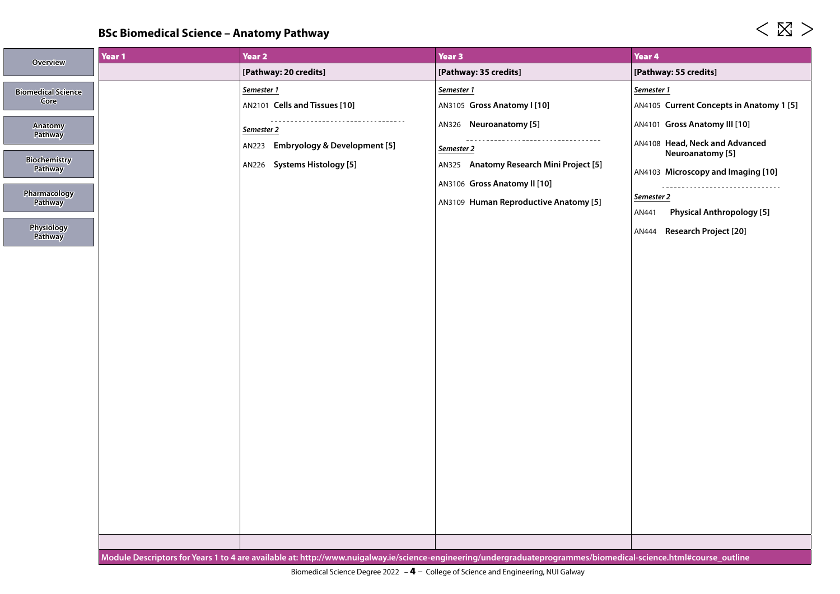# **BSc Biomedical Science – Anatomy Pathway**

| Overview                  | Year 1 | Year 2                                           | Year 3                                                                                                                                                           | Year 4                                             |
|---------------------------|--------|--------------------------------------------------|------------------------------------------------------------------------------------------------------------------------------------------------------------------|----------------------------------------------------|
|                           |        | [Pathway: 20 credits]                            | [Pathway: 35 credits]                                                                                                                                            | [Pathway: 55 credits]                              |
| <b>Biomedical Science</b> |        | Semester 1                                       | Semester 1                                                                                                                                                       | Semester 1                                         |
| Core                      |        | AN2101 Cells and Tissues [10]                    | AN3105 Gross Anatomy I [10]                                                                                                                                      | AN4105 Current Concepts in Anatomy 1 [5]           |
| Anatomy<br>Pathway        |        | Semester 2                                       | AN326 Neuroanatomy [5]                                                                                                                                           | AN4101 Gross Anatomy III [10]                      |
| <b>Biochemistry</b>       |        | <b>Embryology &amp; Development [5]</b><br>AN223 | ------------------------------------<br>Semester 2                                                                                                               | AN4108 Head, Neck and Advanced<br>Neuroanatomy [5] |
| Pathway                   |        | AN226 Systems Histology [5]                      | AN325 Anatomy Research Mini Project [5]<br>AN3106 Gross Anatomy II [10]                                                                                          | AN4103 Microscopy and Imaging [10]                 |
| Pharmacology<br>Pathway   |        |                                                  | AN3109 Human Reproductive Anatomy [5]                                                                                                                            | -------------------------------<br>Semester 2      |
|                           |        |                                                  |                                                                                                                                                                  | <b>Physical Anthropology [5]</b><br>AN441          |
| Physiology<br>Pathway     |        |                                                  |                                                                                                                                                                  | <b>Research Project [20]</b><br>AN444              |
|                           |        |                                                  |                                                                                                                                                                  |                                                    |
|                           |        |                                                  |                                                                                                                                                                  |                                                    |
|                           |        |                                                  |                                                                                                                                                                  |                                                    |
|                           |        |                                                  |                                                                                                                                                                  |                                                    |
|                           |        |                                                  |                                                                                                                                                                  |                                                    |
|                           |        |                                                  |                                                                                                                                                                  |                                                    |
|                           |        |                                                  |                                                                                                                                                                  |                                                    |
|                           |        |                                                  |                                                                                                                                                                  |                                                    |
|                           |        |                                                  |                                                                                                                                                                  |                                                    |
|                           |        |                                                  |                                                                                                                                                                  |                                                    |
|                           |        |                                                  |                                                                                                                                                                  |                                                    |
|                           |        |                                                  |                                                                                                                                                                  |                                                    |
|                           |        |                                                  |                                                                                                                                                                  |                                                    |
|                           |        |                                                  |                                                                                                                                                                  |                                                    |
|                           |        |                                                  | Module Descriptors for Years 1 to 4 are available at: http://www.nuigalway.ie/science-engineering/undergraduateprogrammes/biomedical-science.html#course_outline |                                                    |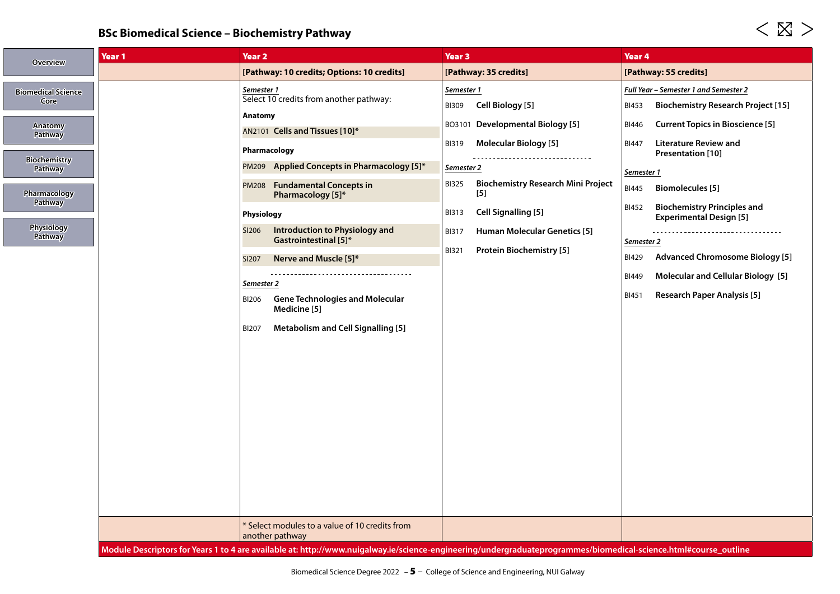# **BSc Biomedical Science – Biochemistry Pathway**

| <b>Overview</b>                     | Year 1 | Year <sub>2</sub>                                                                                                                                                | Year <sub>3</sub>                                                  | Year 4                                                                        |
|-------------------------------------|--------|------------------------------------------------------------------------------------------------------------------------------------------------------------------|--------------------------------------------------------------------|-------------------------------------------------------------------------------|
|                                     |        | [Pathway: 10 credits; Options: 10 credits]                                                                                                                       | [Pathway: 35 credits]                                              | [Pathway: 55 credits]                                                         |
| <b>Biomedical Science</b><br>Core   |        | Semester 1<br>Select 10 credits from another pathway:                                                                                                            | Semester 1                                                         | Full Year - Semester 1 and Semester 2                                         |
|                                     |        | Anatomy                                                                                                                                                          | Cell Biology [5]<br><b>BI309</b>                                   | <b>Biochemistry Research Project [15]</b><br><b>BI453</b>                     |
| <b>Anatomy</b><br>Pathway           |        | AN2101 Cells and Tissues [10]*                                                                                                                                   | BO3101 Developmental Biology [5]                                   | <b>Current Topics in Bioscience [5]</b><br>BI446                              |
|                                     |        | Pharmacology                                                                                                                                                     | <b>Molecular Biology</b> [5]<br><b>BI319</b>                       | <b>Literature Review and</b><br><b>BI447</b><br>Presentation [10]             |
| <b>Biochemistry</b><br>Pathway      |        | Applied Concepts in Pharmacology [5]*<br><b>PM209</b>                                                                                                            | Semester 2                                                         | Semester 1                                                                    |
| Pharmacology                        |        | <b>Fundamental Concepts in</b><br><b>PM208</b><br>Pharmacology [5]*                                                                                              | <b>Biochemistry Research Mini Project</b><br><b>BI325</b><br>$[5]$ | <b>BI445</b><br><b>Biomolecules</b> [5]                                       |
| <b>Pathway</b>                      |        | Physiology                                                                                                                                                       | <b>Cell Signalling [5]</b><br><b>BI313</b>                         | <b>Biochemistry Principles and</b><br>BI452<br><b>Experimental Design [5]</b> |
| <b>Physiology</b><br><b>Pathway</b> |        | Introduction to Physiology and<br>SI206<br>Gastrointestinal [5]*                                                                                                 | <b>Human Molecular Genetics [5]</b><br><b>BI317</b>                | -----------------------------------<br>Semester 2                             |
|                                     |        | Nerve and Muscle [5]*<br><b>SI207</b>                                                                                                                            | <b>Protein Biochemistry [5]</b><br><b>BI321</b>                    | <b>Advanced Chromosome Biology [5]</b><br><b>BI429</b>                        |
|                                     |        | Semester 2                                                                                                                                                       |                                                                    | <b>Molecular and Cellular Biology</b> [5]<br><b>BI449</b>                     |
|                                     |        | <b>Gene Technologies and Molecular</b><br><b>BI206</b><br>Medicine [5]                                                                                           |                                                                    | <b>Research Paper Analysis [5]</b><br><b>BI451</b>                            |
|                                     |        | <b>Metabolism and Cell Signalling [5]</b><br><b>BI207</b>                                                                                                        |                                                                    |                                                                               |
|                                     |        |                                                                                                                                                                  |                                                                    |                                                                               |
|                                     |        |                                                                                                                                                                  |                                                                    |                                                                               |
|                                     |        |                                                                                                                                                                  |                                                                    |                                                                               |
|                                     |        |                                                                                                                                                                  |                                                                    |                                                                               |
|                                     |        |                                                                                                                                                                  |                                                                    |                                                                               |
|                                     |        |                                                                                                                                                                  |                                                                    |                                                                               |
|                                     |        |                                                                                                                                                                  |                                                                    |                                                                               |
|                                     |        |                                                                                                                                                                  |                                                                    |                                                                               |
|                                     |        | * Select modules to a value of 10 credits from<br>another pathway                                                                                                |                                                                    |                                                                               |
|                                     |        | Module Descriptors for Years 1 to 4 are available at: http://www.nuigalway.ie/science-engineering/undergraduateprogrammes/biomedical-science.html#course_outline |                                                                    |                                                                               |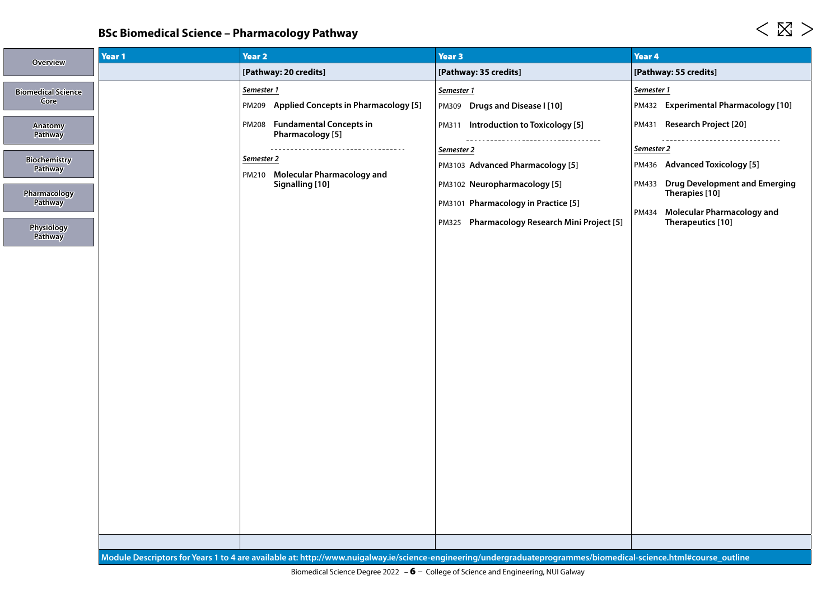# **BSc Biomedical Science – Pharmacology Pathway**

| <b>Overview</b>                                                                                  | Year 1 | <b>Year 2</b>                                                               | Year 3                                                                                                                                                                | Year 4                                                                                                                                                                            |
|--------------------------------------------------------------------------------------------------|--------|-----------------------------------------------------------------------------|-----------------------------------------------------------------------------------------------------------------------------------------------------------------------|-----------------------------------------------------------------------------------------------------------------------------------------------------------------------------------|
|                                                                                                  |        | [Pathway: 20 credits]                                                       | [Pathway: 35 credits]                                                                                                                                                 | [Pathway: 55 credits]                                                                                                                                                             |
| <b>Biomedical Science</b><br>Core                                                                |        | Semester 1<br><b>Applied Concepts in Pharmacology [5]</b><br>PM209          | Semester 1<br>PM309 Drugs and Disease I [10]                                                                                                                          | Semester 1<br>PM432 Experimental Pharmacology [10]                                                                                                                                |
| <b>Anatomy</b><br><b>Pathway</b>                                                                 |        | PM208 Fundamental Concepts in<br>Pharmacology [5]                           | PM311 Introduction to Toxicology [5]<br>-------------------------------------                                                                                         | <b>Research Project [20]</b><br>PM431<br>-------------------------------                                                                                                          |
| <b>Biochemistry</b><br><b>Pathway</b><br>Pharmacology<br><b>Pathway</b><br>Physiology<br>Pathway |        | Semester 2<br><b>Molecular Pharmacology and</b><br>PM210<br>Signalling [10] | Semester 2<br>PM3103 Advanced Pharmacology [5]<br>PM3102 Neuropharmacology [5]<br>PM3101 Pharmacology in Practice [5]<br>PM325 Pharmacology Research Mini Project [5] | Semester 2<br>PM436 Advanced Toxicology [5]<br><b>Drug Development and Emerging</b><br>PM433<br>Therapies [10]<br><b>Molecular Pharmacology and</b><br>PM434<br>Therapeutics [10] |
|                                                                                                  |        |                                                                             |                                                                                                                                                                       |                                                                                                                                                                                   |
|                                                                                                  |        |                                                                             | Module Descriptors for Years 1 to 4 are available at: http://www.nuigalway.ie/science-engineering/undergraduateprogrammes/biomedical-science.html#course_outline      |                                                                                                                                                                                   |